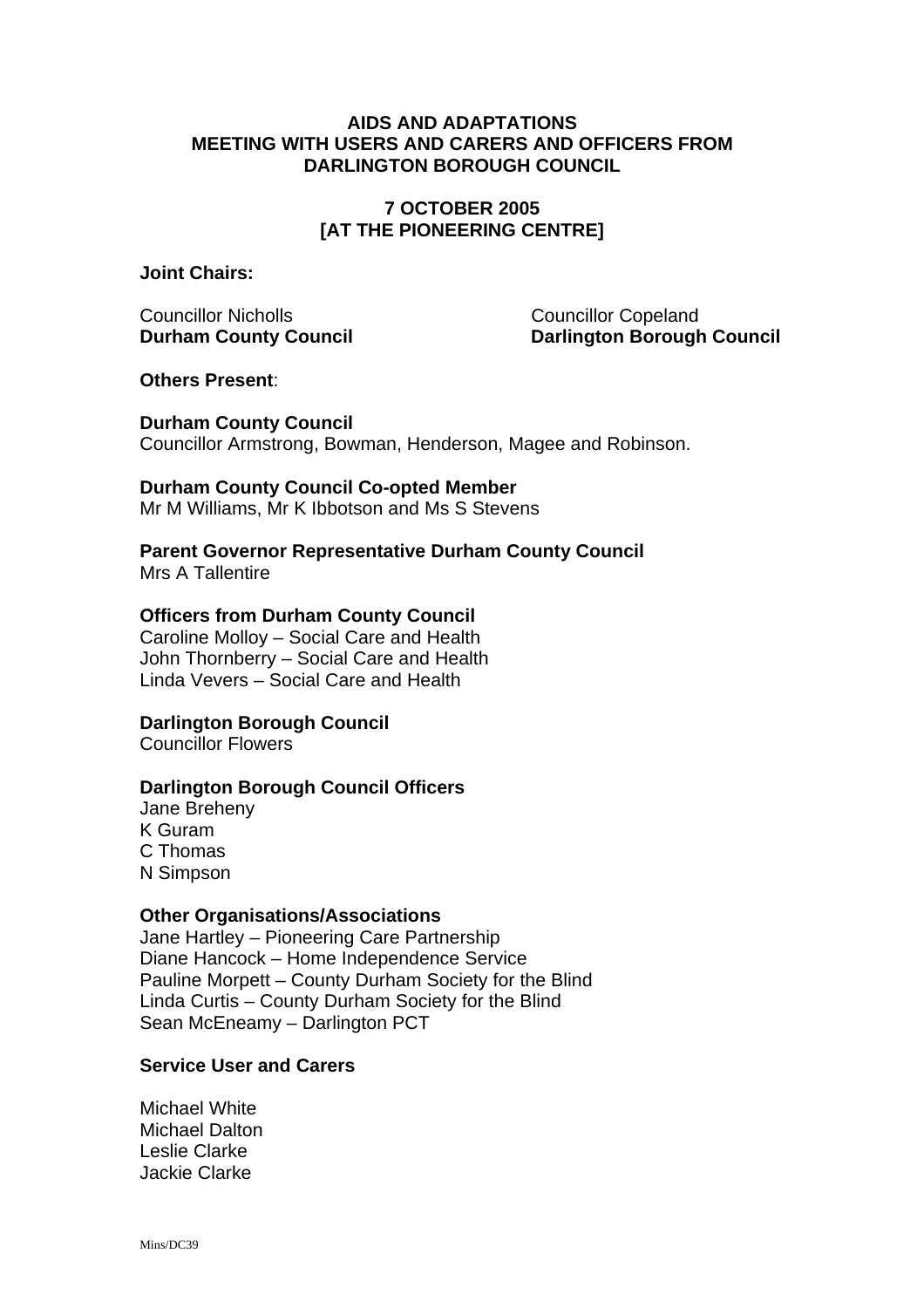### **AIDS AND ADAPTATIONS MEETING WITH USERS AND CARERS AND OFFICERS FROM DARLINGTON BOROUGH COUNCIL**

## **7 OCTOBER 2005 [AT THE PIONEERING CENTRE]**

**Joint Chairs:** 

Councillor Nicholls Councillor Copeland

**Durham County Council Council Council Darlington Borough Council** 

**Others Present**:

**Durham County Council**  Councillor Armstrong, Bowman, Henderson, Magee and Robinson.

## **Durham County Council Co-opted Member**

Mr M Williams, Mr K Ibbotson and Ms S Stevens

**Parent Governor Representative Durham County Council** 

Mrs A Tallentire

## **Officers from Durham County Council**

Caroline Molloy – Social Care and Health John Thornberry – Social Care and Health Linda Vevers – Social Care and Health

# **Darlington Borough Council**

Councillor Flowers

## **Darlington Borough Council Officers**

Jane Breheny K Guram C Thomas N Simpson

## **Other Organisations/Associations**

Jane Hartley – Pioneering Care Partnership Diane Hancock – Home Independence Service Pauline Morpett – County Durham Society for the Blind Linda Curtis – County Durham Society for the Blind Sean McEneamy – Darlington PCT

## **Service User and Carers**

Michael White Michael Dalton Leslie Clarke Jackie Clarke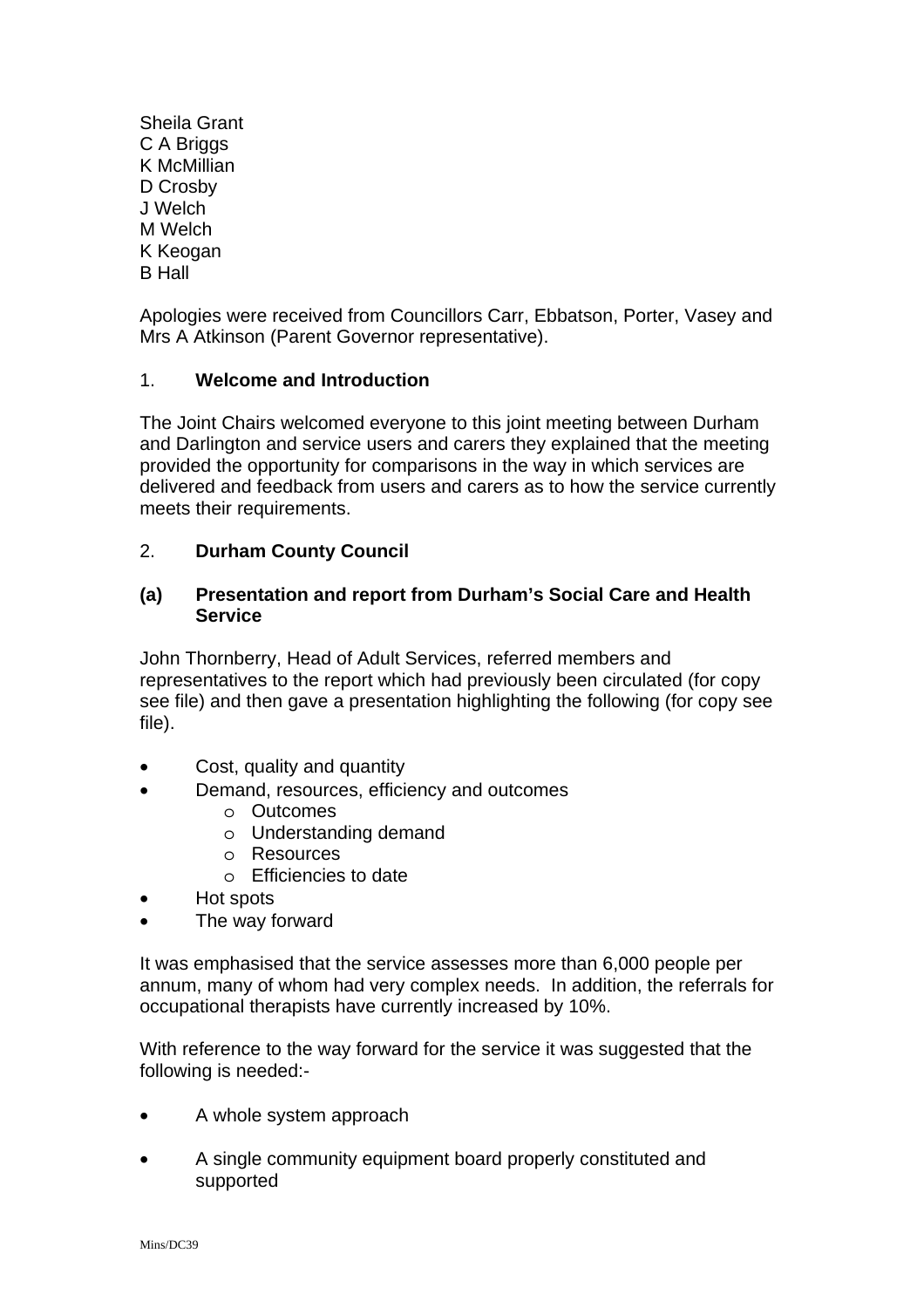Sheila Grant C A Briggs K McMillian D Crosby J Welch M Welch K Keogan B Hall

Apologies were received from Councillors Carr, Ebbatson, Porter, Vasey and Mrs A Atkinson (Parent Governor representative).

## 1. **Welcome and Introduction**

The Joint Chairs welcomed everyone to this joint meeting between Durham and Darlington and service users and carers they explained that the meeting provided the opportunity for comparisons in the way in which services are delivered and feedback from users and carers as to how the service currently meets their requirements.

## 2. **Durham County Council**

### **(a) Presentation and report from Durham's Social Care and Health Service**

John Thornberry, Head of Adult Services, referred members and representatives to the report which had previously been circulated (for copy see file) and then gave a presentation highlighting the following (for copy see file).

- Cost, quality and quantity
- Demand, resources, efficiency and outcomes
	- o Outcomes
		- o Understanding demand
		- o Resources
		- o Efficiencies to date
- Hot spots
- The way forward

It was emphasised that the service assesses more than 6,000 people per annum, many of whom had very complex needs. In addition, the referrals for occupational therapists have currently increased by 10%.

With reference to the way forward for the service it was suggested that the following is needed:-

- A whole system approach
- A single community equipment board properly constituted and supported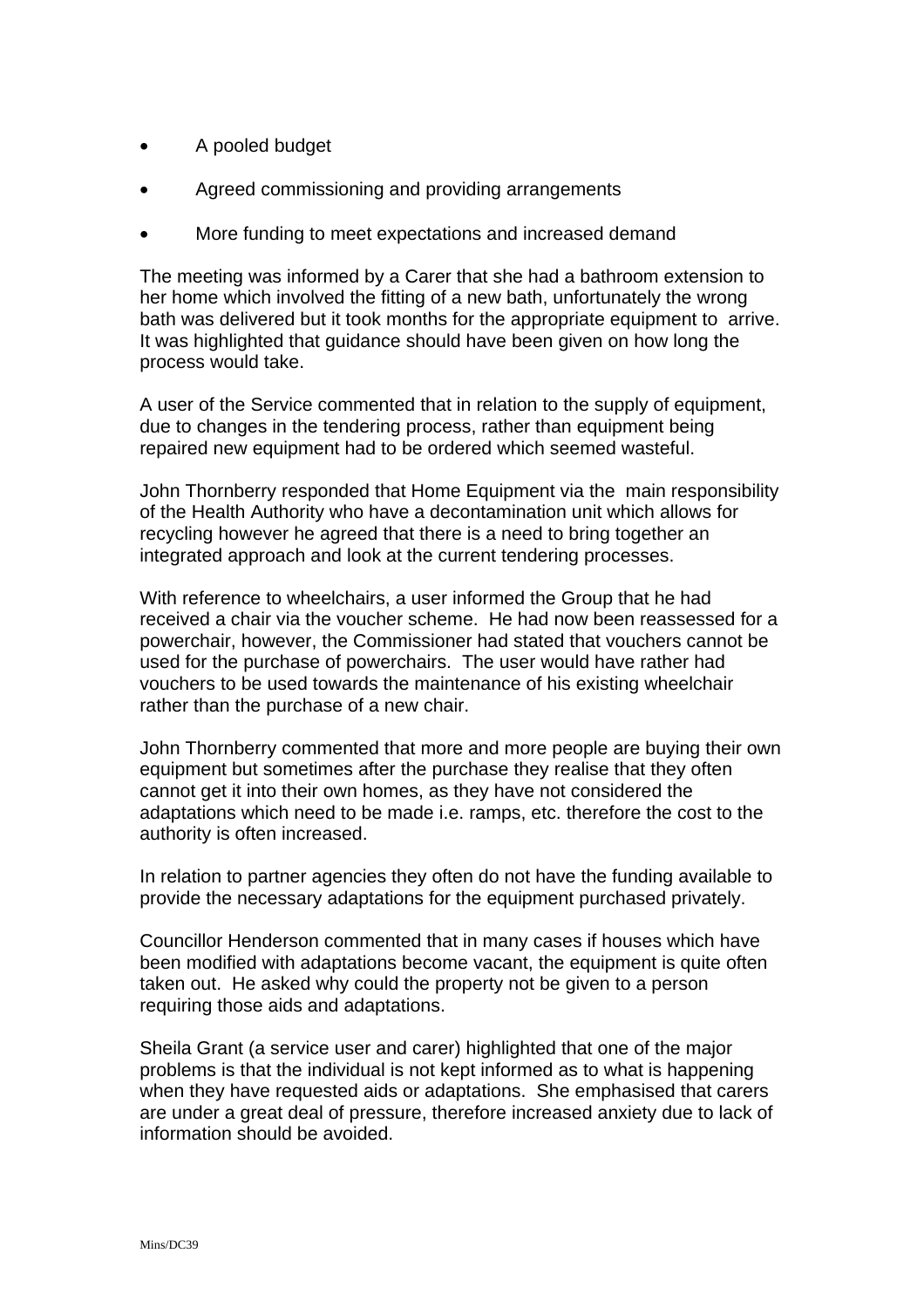- A pooled budget
- Agreed commissioning and providing arrangements
- More funding to meet expectations and increased demand

The meeting was informed by a Carer that she had a bathroom extension to her home which involved the fitting of a new bath, unfortunately the wrong bath was delivered but it took months for the appropriate equipment to arrive. It was highlighted that guidance should have been given on how long the process would take.

A user of the Service commented that in relation to the supply of equipment, due to changes in the tendering process, rather than equipment being repaired new equipment had to be ordered which seemed wasteful.

John Thornberry responded that Home Equipment via the main responsibility of the Health Authority who have a decontamination unit which allows for recycling however he agreed that there is a need to bring together an integrated approach and look at the current tendering processes.

With reference to wheelchairs, a user informed the Group that he had received a chair via the voucher scheme. He had now been reassessed for a powerchair, however, the Commissioner had stated that vouchers cannot be used for the purchase of powerchairs. The user would have rather had vouchers to be used towards the maintenance of his existing wheelchair rather than the purchase of a new chair.

John Thornberry commented that more and more people are buying their own equipment but sometimes after the purchase they realise that they often cannot get it into their own homes, as they have not considered the adaptations which need to be made i.e. ramps, etc. therefore the cost to the authority is often increased.

In relation to partner agencies they often do not have the funding available to provide the necessary adaptations for the equipment purchased privately.

Councillor Henderson commented that in many cases if houses which have been modified with adaptations become vacant, the equipment is quite often taken out. He asked why could the property not be given to a person requiring those aids and adaptations.

Sheila Grant (a service user and carer) highlighted that one of the major problems is that the individual is not kept informed as to what is happening when they have requested aids or adaptations. She emphasised that carers are under a great deal of pressure, therefore increased anxiety due to lack of information should be avoided.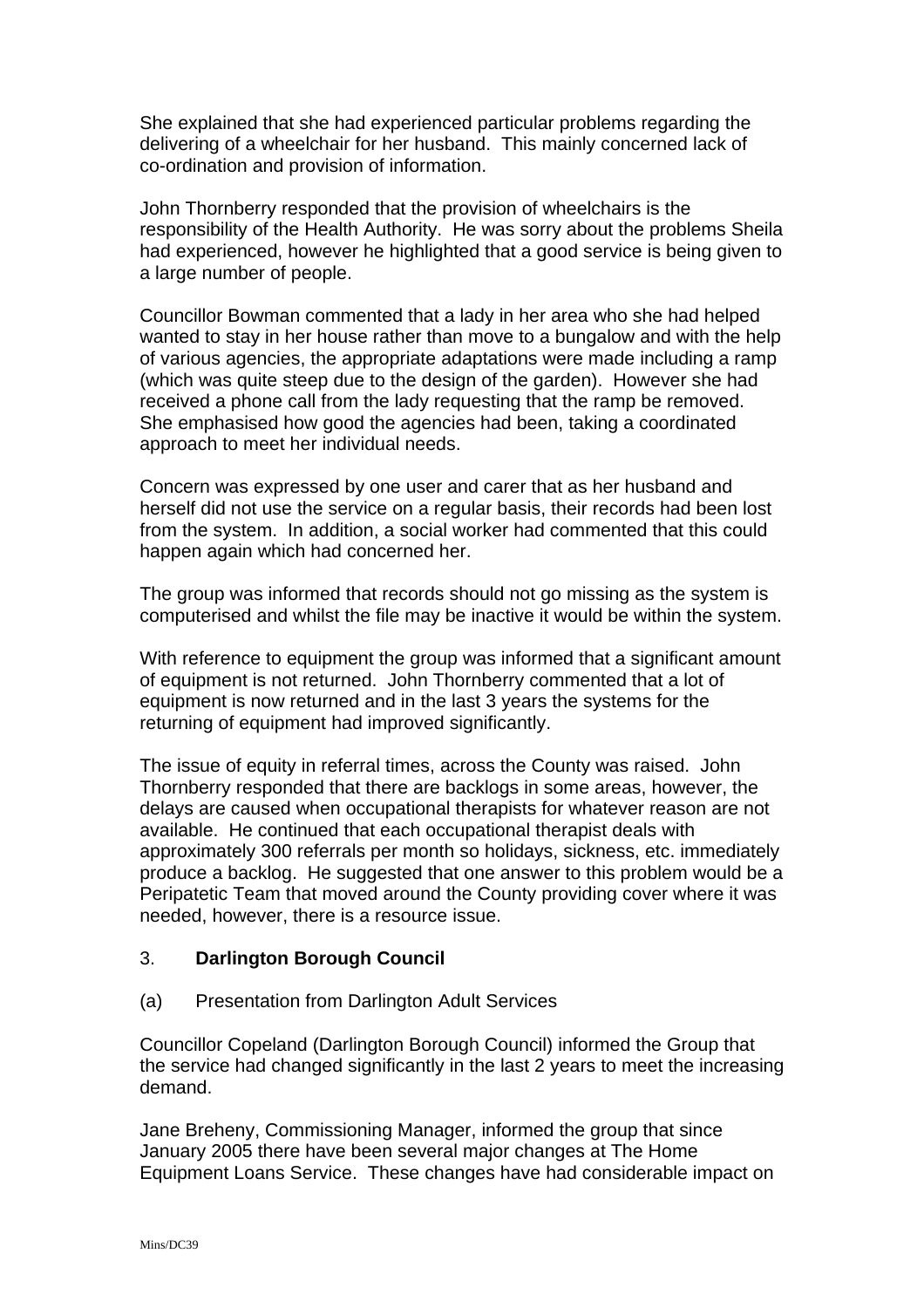She explained that she had experienced particular problems regarding the delivering of a wheelchair for her husband. This mainly concerned lack of co-ordination and provision of information.

John Thornberry responded that the provision of wheelchairs is the responsibility of the Health Authority. He was sorry about the problems Sheila had experienced, however he highlighted that a good service is being given to a large number of people.

Councillor Bowman commented that a lady in her area who she had helped wanted to stay in her house rather than move to a bungalow and with the help of various agencies, the appropriate adaptations were made including a ramp (which was quite steep due to the design of the garden). However she had received a phone call from the lady requesting that the ramp be removed. She emphasised how good the agencies had been, taking a coordinated approach to meet her individual needs.

Concern was expressed by one user and carer that as her husband and herself did not use the service on a regular basis, their records had been lost from the system. In addition, a social worker had commented that this could happen again which had concerned her.

The group was informed that records should not go missing as the system is computerised and whilst the file may be inactive it would be within the system.

With reference to equipment the group was informed that a significant amount of equipment is not returned. John Thornberry commented that a lot of equipment is now returned and in the last 3 years the systems for the returning of equipment had improved significantly.

The issue of equity in referral times, across the County was raised. John Thornberry responded that there are backlogs in some areas, however, the delays are caused when occupational therapists for whatever reason are not available. He continued that each occupational therapist deals with approximately 300 referrals per month so holidays, sickness, etc. immediately produce a backlog. He suggested that one answer to this problem would be a Peripatetic Team that moved around the County providing cover where it was needed, however, there is a resource issue.

## 3. **Darlington Borough Council**

## (a) Presentation from Darlington Adult Services

Councillor Copeland (Darlington Borough Council) informed the Group that the service had changed significantly in the last 2 years to meet the increasing demand.

Jane Breheny, Commissioning Manager, informed the group that since January 2005 there have been several major changes at The Home Equipment Loans Service. These changes have had considerable impact on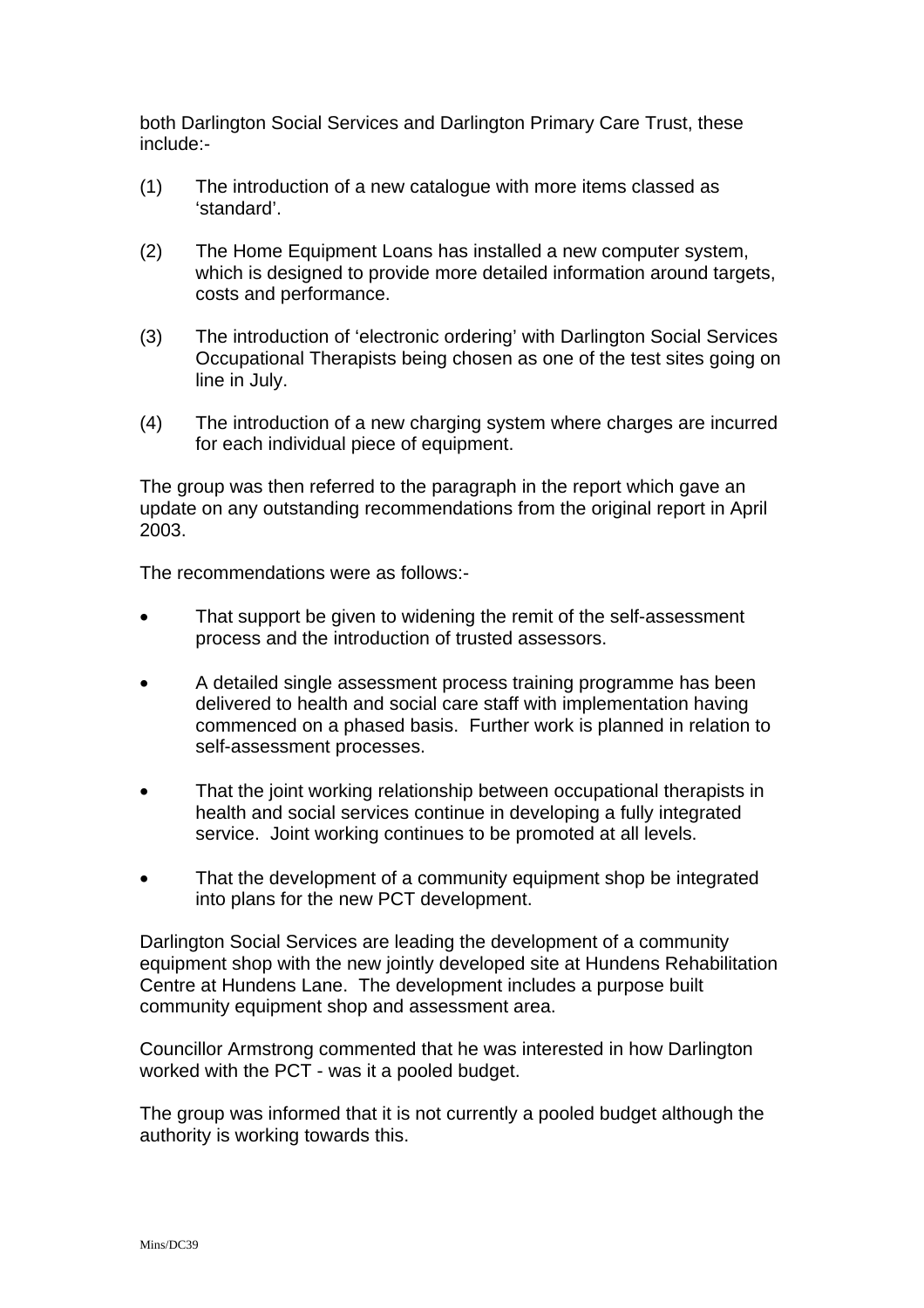both Darlington Social Services and Darlington Primary Care Trust, these include:-

- (1) The introduction of a new catalogue with more items classed as 'standard'.
- (2) The Home Equipment Loans has installed a new computer system, which is designed to provide more detailed information around targets, costs and performance.
- (3) The introduction of 'electronic ordering' with Darlington Social Services Occupational Therapists being chosen as one of the test sites going on line in July.
- (4) The introduction of a new charging system where charges are incurred for each individual piece of equipment.

The group was then referred to the paragraph in the report which gave an update on any outstanding recommendations from the original report in April 2003.

The recommendations were as follows:-

- That support be given to widening the remit of the self-assessment process and the introduction of trusted assessors.
- A detailed single assessment process training programme has been delivered to health and social care staff with implementation having commenced on a phased basis. Further work is planned in relation to self-assessment processes.
- That the joint working relationship between occupational therapists in health and social services continue in developing a fully integrated service. Joint working continues to be promoted at all levels.
- That the development of a community equipment shop be integrated into plans for the new PCT development.

Darlington Social Services are leading the development of a community equipment shop with the new jointly developed site at Hundens Rehabilitation Centre at Hundens Lane. The development includes a purpose built community equipment shop and assessment area.

Councillor Armstrong commented that he was interested in how Darlington worked with the PCT - was it a pooled budget.

The group was informed that it is not currently a pooled budget although the authority is working towards this.